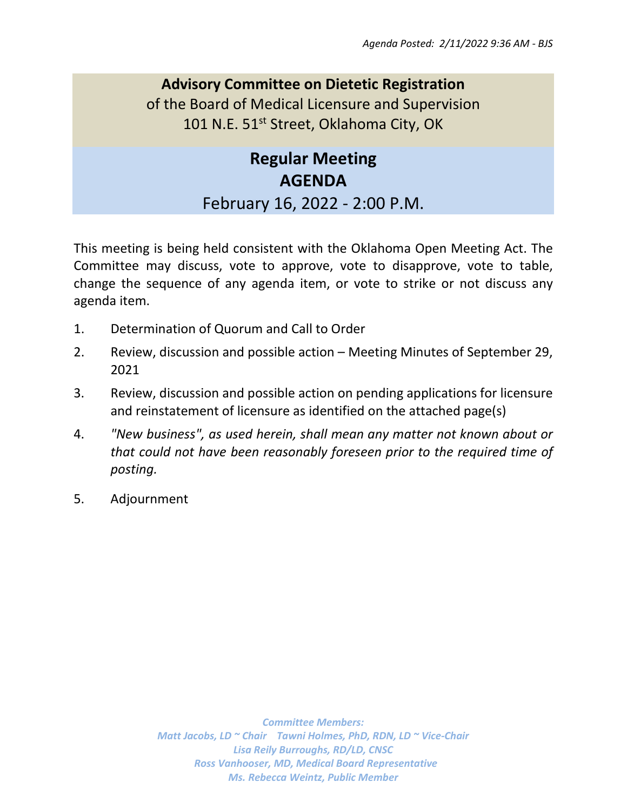## **Advisory Committee on Dietetic Registration** of the Board of Medical Licensure and Supervision 101 N.E. 51<sup>st</sup> Street, Oklahoma City, OK

# **Regular Meeting AGENDA** February 16, 2022 - 2:00 P.M.

This meeting is being held consistent with the Oklahoma Open Meeting Act. The Committee may discuss, vote to approve, vote to disapprove, vote to table, change the sequence of any agenda item, or vote to strike or not discuss any agenda item.

- 1. Determination of Quorum and Call to Order
- 2. Review, discussion and possible action Meeting Minutes of September 29, 2021
- 3. Review, discussion and possible action on pending applications for licensure and reinstatement of licensure as identified on the attached page(s)
- 4. *"New business", as used herein, shall mean any matter not known about or that could not have been reasonably foreseen prior to the required time of posting.*
- 5. Adjournment

*Committee Members: Matt Jacobs, LD ~ Chair Tawni Holmes, PhD, RDN, LD ~ Vice-Chair Lisa Reily Burroughs, RD/LD, CNSC Ross Vanhooser, MD, Medical Board Representative Ms. Rebecca Weintz, Public Member*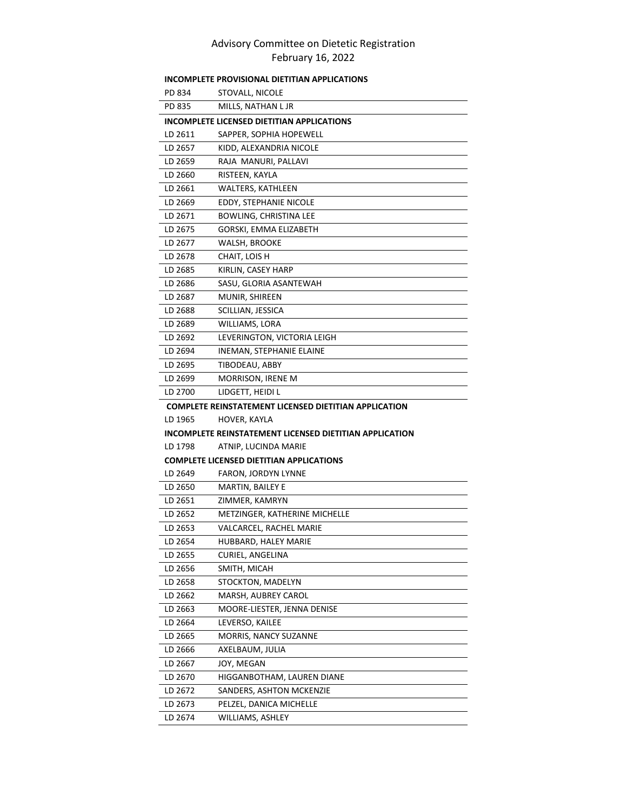#### Advisory Committee on Dietetic Registration February 16, 2022

| INCOMPLETE PROVISIONAL DIETITIAN APPLICATIONS                |                                                         |  |
|--------------------------------------------------------------|---------------------------------------------------------|--|
| PD 834                                                       | STOVALL, NICOLE                                         |  |
| PD 835                                                       | MILLS, NATHAN L JR                                      |  |
| INCOMPLETE LICENSED DIETITIAN APPLICATIONS                   |                                                         |  |
| LD 2611                                                      | SAPPER, SOPHIA HOPEWELL                                 |  |
| LD 2657                                                      | KIDD, ALEXANDRIA NICOLE                                 |  |
| LD 2659                                                      | RAJA MANURI, PALLAVI                                    |  |
| LD 2660                                                      | RISTEEN, KAYLA                                          |  |
| LD 2661                                                      | WALTERS, KATHLEEN                                       |  |
| LD 2669                                                      | EDDY, STEPHANIE NICOLE                                  |  |
| LD 2671                                                      | <b>BOWLING, CHRISTINA LEE</b>                           |  |
| LD 2675                                                      | GORSKI, EMMA ELIZABETH                                  |  |
| LD 2677                                                      | WALSH, BROOKE                                           |  |
| LD 2678                                                      | CHAIT, LOIS H                                           |  |
| LD 2685                                                      | KIRLIN, CASEY HARP                                      |  |
| LD 2686                                                      | SASU, GLORIA ASANTEWAH                                  |  |
| LD 2687                                                      | MUNIR, SHIREEN                                          |  |
| LD 2688                                                      | SCILLIAN, JESSICA                                       |  |
| LD 2689                                                      | WILLIAMS, LORA                                          |  |
| LD 2692                                                      | LEVERINGTON, VICTORIA LEIGH                             |  |
| LD 2694                                                      | INEMAN, STEPHANIE ELAINE                                |  |
| LD 2695                                                      | TIBODEAU, ABBY                                          |  |
| LD 2699                                                      | MORRISON, IRENE M                                       |  |
| LD 2700                                                      | LIDGETT, HEIDI L                                        |  |
| <b>COMPLETE REINSTATEMENT LICENSED DIETITIAN APPLICATION</b> |                                                         |  |
|                                                              |                                                         |  |
| LD 1965                                                      | HOVER, KAYLA                                            |  |
|                                                              | INCOMPLETE REINSTATEMENT LICENSED DIETITIAN APPLICATION |  |
| LD 1798                                                      | ATNIP, LUCINDA MARIE                                    |  |
|                                                              | <b>COMPLETE LICENSED DIETITIAN APPLICATIONS</b>         |  |
| LD 2649                                                      | FARON, JORDYN LYNNE                                     |  |
| LD 2650                                                      | MARTIN, BAILEY E                                        |  |
| LD 2651                                                      | ZIMMER, KAMRYN                                          |  |
| LD 2652                                                      | METZINGER, KATHERINE MICHELLE                           |  |
| LD 2653                                                      | VALCARCEL, RACHEL MARIE                                 |  |
| LD 2654                                                      | HUBBARD, HALEY MARIE                                    |  |
| LD 2655                                                      | CURIEL, ANGELINA                                        |  |
| LD 2656                                                      | SMITH, MICAH                                            |  |
| LD 2658                                                      | STOCKTON, MADELYN                                       |  |
| LD 2662                                                      | MARSH, AUBREY CAROL                                     |  |
| LD 2663                                                      | MOORE-LIESTER, JENNA DENISE                             |  |
| LD 2664                                                      | LEVERSO, KAILEE                                         |  |
| LD 2665                                                      | MORRIS, NANCY SUZANNE                                   |  |
| LD 2666                                                      | AXELBAUM, JULIA                                         |  |
| LD 2667                                                      | JOY, MEGAN                                              |  |
| LD 2670                                                      | HIGGANBOTHAM, LAUREN DIANE                              |  |
| LD 2672                                                      | SANDERS, ASHTON MCKENZIE                                |  |
| LD 2673                                                      | PELZEL, DANICA MICHELLE                                 |  |